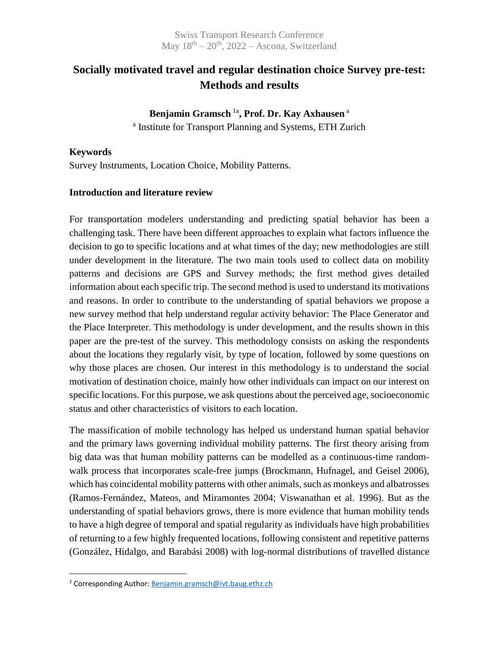# **Socially motivated travel and regular destination choice Survey pre-test: Methods and results**

## **Benjamin Gramsch** 1a **, Prof. Dr. Kay Axhausen** <sup>a</sup>

<sup>a</sup> Institute for Transport Planning and Systems, ETH Zurich

#### **Keywords**

Survey Instruments, Location Choice, Mobility Patterns.

## **Introduction and literature review**

For transportation modelers understanding and predicting spatial behavior has been a challenging task. There have been different approaches to explain what factors influence the decision to go to specific locations and at what times of the day; new methodologies are still under development in the literature. The two main tools used to collect data on mobility patterns and decisions are GPS and Survey methods; the first method gives detailed information about each specific trip. The second method is used to understand its motivations and reasons. In order to contribute to the understanding of spatial behaviors we propose a new survey method that help understand regular activity behavior: The Place Generator and the Place Interpreter. This methodology is under development, and the results shown in this paper are the pre-test of the survey. This methodology consists on asking the respondents about the locations they regularly visit, by type of location, followed by some questions on why those places are chosen. Our interest in this methodology is to understand the social motivation of destination choice, mainly how other individuals can impact on our interest on specific locations. For this purpose, we ask questions about the perceived age, socioeconomic status and other characteristics of visitors to each location.

The massification of mobile technology has helped us understand human spatial behavior and the primary laws governing individual mobility patterns. The first theory arising from big data was that human mobility patterns can be modelled as a continuous-time randomwalk process that incorporates scale-free jumps (Brockmann, Hufnagel, and Geisel 2006), which has coincidental mobility patterns with other animals, such as monkeys and albatrosses (Ramos-Fernández, Mateos, and Miramontes 2004; Viswanathan et al. 1996). But as the understanding of spatial behaviors grows, there is more evidence that human mobility tends to have a high degree of temporal and spatial regularity as individuals have high probabilities of returning to a few highly frequented locations, following consistent and repetitive patterns (González, Hidalgo, and Barabási 2008) with log-normal distributions of travelled distance

 $\ddot{\phantom{a}}$ 

<sup>1</sup> Corresponding Author: [Benjamin.gramsch@ivt.baug.ethz.ch](mailto:Benjamin.gramsch@ivt.baug.ethz.ch)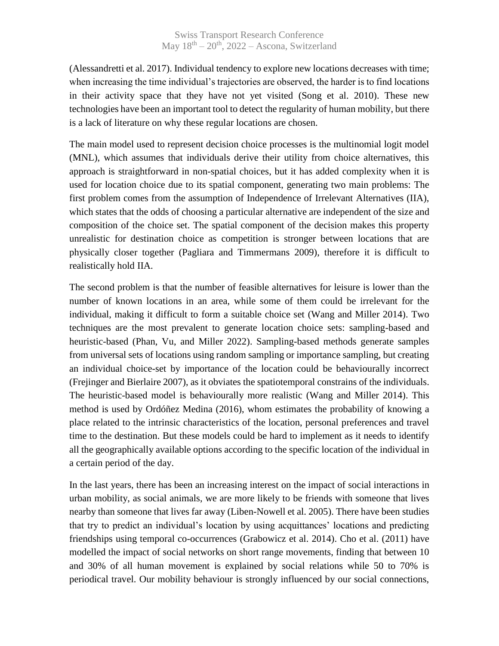(Alessandretti et al. 2017). Individual tendency to explore new locations decreases with time; when increasing the time individual's trajectories are observed, the harder is to find locations in their activity space that they have not yet visited (Song et al. 2010). These new technologies have been an important tool to detect the regularity of human mobility, but there is a lack of literature on why these regular locations are chosen.

The main model used to represent decision choice processes is the multinomial logit model (MNL), which assumes that individuals derive their utility from choice alternatives, this approach is straightforward in non-spatial choices, but it has added complexity when it is used for location choice due to its spatial component, generating two main problems: The first problem comes from the assumption of Independence of Irrelevant Alternatives (IIA), which states that the odds of choosing a particular alternative are independent of the size and composition of the choice set. The spatial component of the decision makes this property unrealistic for destination choice as competition is stronger between locations that are physically closer together (Pagliara and Timmermans 2009), therefore it is difficult to realistically hold IIA.

The second problem is that the number of feasible alternatives for leisure is lower than the number of known locations in an area, while some of them could be irrelevant for the individual, making it difficult to form a suitable choice set (Wang and Miller 2014). Two techniques are the most prevalent to generate location choice sets: sampling-based and heuristic-based (Phan, Vu, and Miller 2022). Sampling-based methods generate samples from universal sets of locations using random sampling or importance sampling, but creating an individual choice-set by importance of the location could be behaviourally incorrect (Frejinger and Bierlaire 2007), as it obviates the spatiotemporal constrains of the individuals. The heuristic-based model is behaviourally more realistic (Wang and Miller 2014). This method is used by Ordóñez Medina (2016), whom estimates the probability of knowing a place related to the intrinsic characteristics of the location, personal preferences and travel time to the destination. But these models could be hard to implement as it needs to identify all the geographically available options according to the specific location of the individual in a certain period of the day.

In the last years, there has been an increasing interest on the impact of social interactions in urban mobility, as social animals, we are more likely to be friends with someone that lives nearby than someone that lives far away (Liben-Nowell et al. 2005). There have been studies that try to predict an individual's location by using acquittances' locations and predicting friendships using temporal co-occurrences (Grabowicz et al. 2014). Cho et al. (2011) have modelled the impact of social networks on short range movements, finding that between 10 and 30% of all human movement is explained by social relations while 50 to 70% is periodical travel. Our mobility behaviour is strongly influenced by our social connections,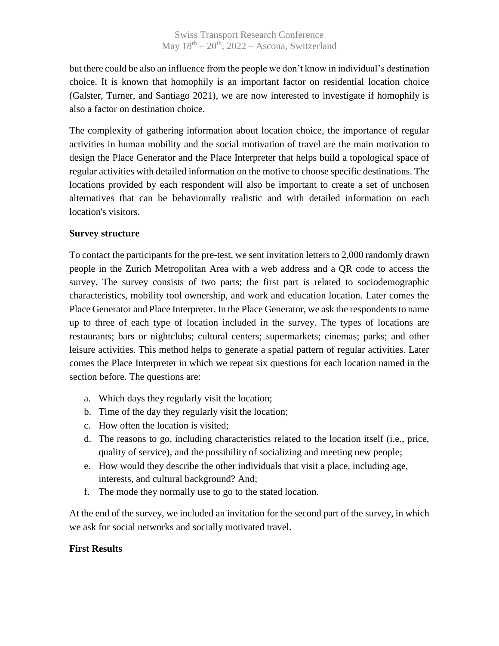but there could be also an influence from the people we don't know in individual's destination choice. It is known that homophily is an important factor on residential location choice (Galster, Turner, and Santiago 2021), we are now interested to investigate if homophily is also a factor on destination choice.

The complexity of gathering information about location choice, the importance of regular activities in human mobility and the social motivation of travel are the main motivation to design the Place Generator and the Place Interpreter that helps build a topological space of regular activities with detailed information on the motive to choose specific destinations. The locations provided by each respondent will also be important to create a set of unchosen alternatives that can be behaviourally realistic and with detailed information on each location's visitors.

## **Survey structure**

To contact the participants for the pre-test, we sent invitation letters to 2,000 randomly drawn people in the Zurich Metropolitan Area with a web address and a QR code to access the survey. The survey consists of two parts; the first part is related to sociodemographic characteristics, mobility tool ownership, and work and education location. Later comes the Place Generator and Place Interpreter. In the Place Generator, we ask the respondents to name up to three of each type of location included in the survey. The types of locations are restaurants; bars or nightclubs; cultural centers; supermarkets; cinemas; parks; and other leisure activities. This method helps to generate a spatial pattern of regular activities. Later comes the Place Interpreter in which we repeat six questions for each location named in the section before. The questions are:

- a. Which days they regularly visit the location;
- b. Time of the day they regularly visit the location;
- c. How often the location is visited;
- d. The reasons to go, including characteristics related to the location itself (i.e., price, quality of service), and the possibility of socializing and meeting new people;
- e. How would they describe the other individuals that visit a place, including age, interests, and cultural background? And;
- f. The mode they normally use to go to the stated location.

At the end of the survey, we included an invitation for the second part of the survey, in which we ask for social networks and socially motivated travel.

## **First Results**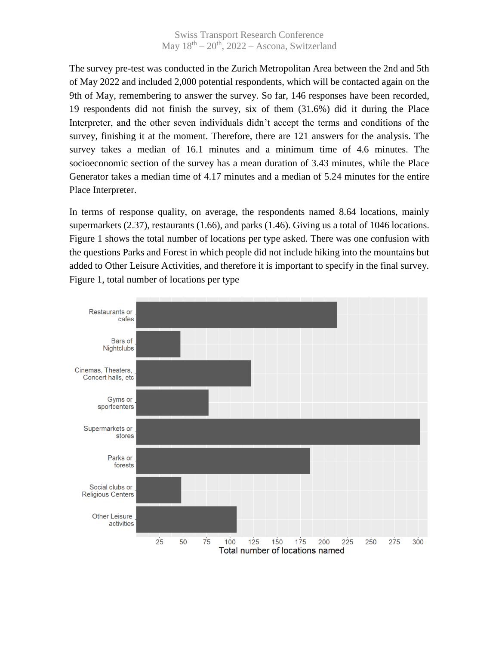The survey pre-test was conducted in the Zurich Metropolitan Area between the 2nd and 5th of May 2022 and included 2,000 potential respondents, which will be contacted again on the 9th of May, remembering to answer the survey. So far, 146 responses have been recorded, 19 respondents did not finish the survey, six of them (31.6%) did it during the Place Interpreter, and the other seven individuals didn't accept the terms and conditions of the survey, finishing it at the moment. Therefore, there are 121 answers for the analysis. The survey takes a median of 16.1 minutes and a minimum time of 4.6 minutes. The socioeconomic section of the survey has a mean duration of 3.43 minutes, while the Place Generator takes a median time of 4.17 minutes and a median of 5.24 minutes for the entire Place Interpreter.

In terms of response quality, on average, the respondents named 8.64 locations, mainly supermarkets (2.37), restaurants (1.66), and parks (1.46). Giving us a total of 1046 locations. Figure 1 shows the total number of locations per type asked. There was one confusion with the questions Parks and Forest in which people did not include hiking into the mountains but added to Other Leisure Activities, and therefore it is important to specify in the final survey. Figure 1, total number of locations per type

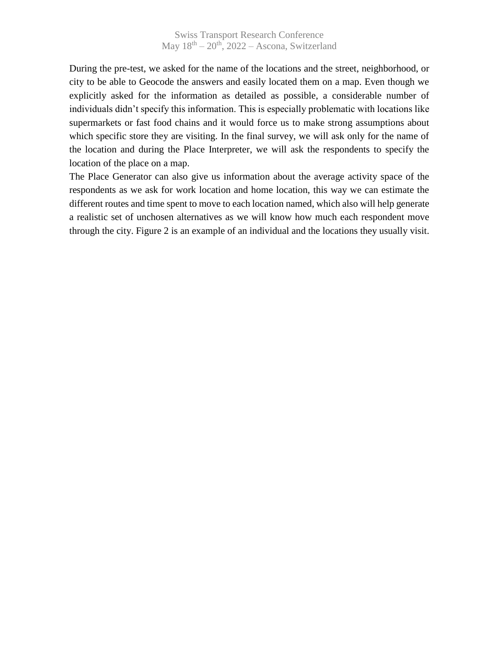Swiss Transport Research Conference May  $18^{\text{th}} - 20^{\text{th}}$ , 2022 – Ascona, Switzerland

During the pre-test, we asked for the name of the locations and the street, neighborhood, or city to be able to Geocode the answers and easily located them on a map. Even though we explicitly asked for the information as detailed as possible, a considerable number of individuals didn't specify this information. This is especially problematic with locations like supermarkets or fast food chains and it would force us to make strong assumptions about which specific store they are visiting. In the final survey, we will ask only for the name of the location and during the Place Interpreter, we will ask the respondents to specify the location of the place on a map.

The Place Generator can also give us information about the average activity space of the respondents as we ask for work location and home location, this way we can estimate the different routes and time spent to move to each location named, which also will help generate a realistic set of unchosen alternatives as we will know how much each respondent move through the city. Figure 2 is an example of an individual and the locations they usually visit.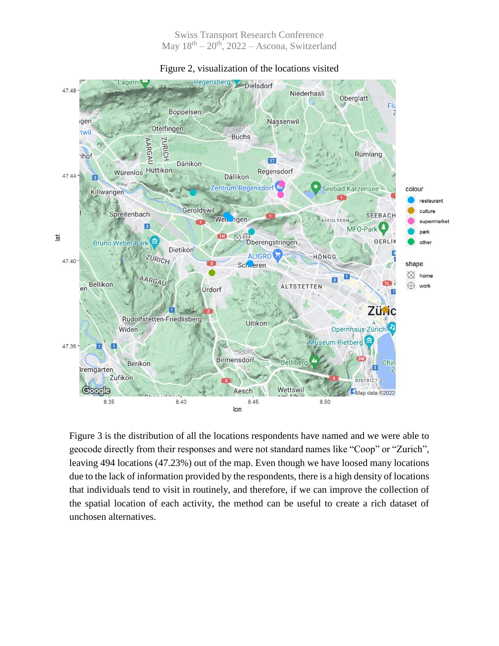Swiss Transport Research Conference May  $18^{\text{th}} - 20^{\text{th}}$ , 2022 – Ascona, Switzerland



Figure 2, visualization of the locations visited

Figure 3 is the distribution of all the locations respondents have named and we were able to geocode directly from their responses and were not standard names like "Coop" or "Zurich", leaving 494 locations (47.23%) out of the map. Even though we have loosed many locations due to the lack of information provided by the respondents, there is a high density of locations that individuals tend to visit in routinely, and therefore, if we can improve the collection of the spatial location of each activity, the method can be useful to create a rich dataset of unchosen alternatives.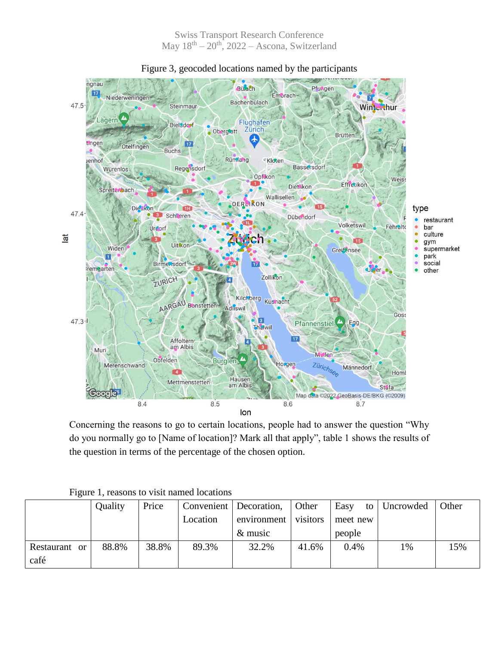

Figure 3, geocoded locations named by the participants

Concerning the reasons to go to certain locations, people had to answer the question "Why do you normally go to [Name of location]? Mark all that apply", table 1 shows the results of the question in terms of the percentage of the chosen option.

|               | <b>Quality</b> | Price |          | Convenient   Decoration, | Other    | Easy     | to   Uncrowded | Other |
|---------------|----------------|-------|----------|--------------------------|----------|----------|----------------|-------|
|               |                |       | Location | environment              | visitors | meet new |                |       |
|               |                |       |          | $&$ music                |          | people   |                |       |
| Restaurant or | 88.8%          | 38.8% | 89.3%    | 32.2%                    | 41.6%    | 0.4%     | 1%             | 15%   |
| café          |                |       |          |                          |          |          |                |       |

Figure 1, reasons to visit named locations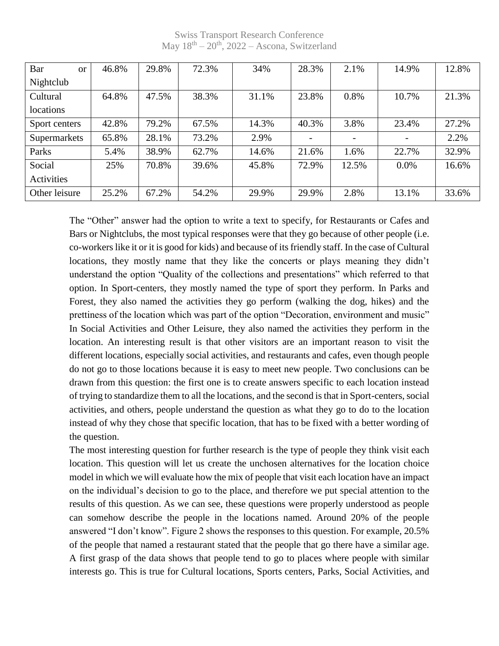| Bar<br><sub>or</sub> | 46.8% | 29.8% | 72.3% | 34%   | 28.3% | 2.1%                     | 14.9% | 12.8% |
|----------------------|-------|-------|-------|-------|-------|--------------------------|-------|-------|
| Nightclub            |       |       |       |       |       |                          |       |       |
| Cultural             | 64.8% | 47.5% | 38.3% | 31.1% | 23.8% | 0.8%                     | 10.7% | 21.3% |
| locations            |       |       |       |       |       |                          |       |       |
| Sport centers        | 42.8% | 79.2% | 67.5% | 14.3% | 40.3% | 3.8%                     | 23.4% | 27.2% |
| Supermarkets         | 65.8% | 28.1% | 73.2% | 2.9%  |       | $\overline{\phantom{a}}$ |       | 2.2%  |
| Parks                | 5.4%  | 38.9% | 62.7% | 14.6% | 21.6% | 1.6%                     | 22.7% | 32.9% |
| Social               | 25%   | 70.8% | 39.6% | 45.8% | 72.9% | 12.5%                    | 0.0%  | 16.6% |
| Activities           |       |       |       |       |       |                          |       |       |
| Other leisure        | 25.2% | 67.2% | 54.2% | 29.9% | 29.9% | 2.8%                     | 13.1% | 33.6% |

Swiss Transport Research Conference May  $18^{\text{th}} - 20^{\text{th}}$ , 2022 – Ascona, Switzerland

The "Other" answer had the option to write a text to specify, for Restaurants or Cafes and Bars or Nightclubs, the most typical responses were that they go because of other people (i.e. co-workers like it or it is good for kids) and because of its friendly staff. In the case of Cultural locations, they mostly name that they like the concerts or plays meaning they didn't understand the option "Quality of the collections and presentations" which referred to that option. In Sport-centers, they mostly named the type of sport they perform. In Parks and Forest, they also named the activities they go perform (walking the dog, hikes) and the prettiness of the location which was part of the option "Decoration, environment and music" In Social Activities and Other Leisure, they also named the activities they perform in the location. An interesting result is that other visitors are an important reason to visit the different locations, especially social activities, and restaurants and cafes, even though people do not go to those locations because it is easy to meet new people. Two conclusions can be drawn from this question: the first one is to create answers specific to each location instead of trying to standardize them to all the locations, and the second is that in Sport-centers, social activities, and others, people understand the question as what they go to do to the location instead of why they chose that specific location, that has to be fixed with a better wording of the question.

The most interesting question for further research is the type of people they think visit each location. This question will let us create the unchosen alternatives for the location choice model in which we will evaluate how the mix of people that visit each location have an impact on the individual's decision to go to the place, and therefore we put special attention to the results of this question. As we can see, these questions were properly understood as people can somehow describe the people in the locations named. Around 20% of the people answered "I don't know". Figure 2 shows the responses to this question. For example, 20.5% of the people that named a restaurant stated that the people that go there have a similar age. A first grasp of the data shows that people tend to go to places where people with similar interests go. This is true for Cultural locations, Sports centers, Parks, Social Activities, and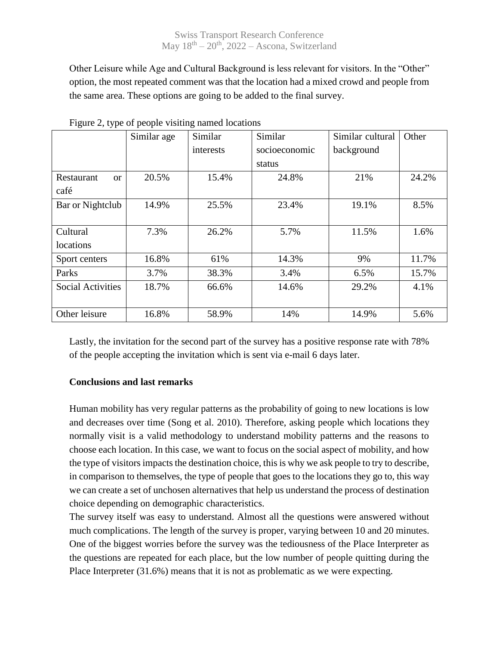Other Leisure while Age and Cultural Background is less relevant for visitors. In the "Other" option, the most repeated comment was that the location had a mixed crowd and people from the same area. These options are going to be added to the final survey.

| ັ                           |             |           |                |                  |       |
|-----------------------------|-------------|-----------|----------------|------------------|-------|
|                             | Similar age | Similar   | Similar        | Similar cultural | Other |
|                             |             | interests | socioeconomic  | background       |       |
|                             |             |           | status         |                  |       |
| Restaurant<br><sub>or</sub> | 20.5%       | 15.4%     | 24.8%          | 21%              | 24.2% |
| café                        |             |           |                |                  |       |
| Bar or Nightclub            | 14.9%       | 25.5%     | 23.4%          | 19.1%            | 8.5%  |
|                             |             |           |                |                  |       |
| Cultural                    | 7.3%        | 26.2%     | 5.7%           | 11.5%            | 1.6%  |
| locations                   |             |           |                |                  |       |
| Sport centers               | 16.8%       | 61%       | 14.3%          | 9%               | 11.7% |
| Parks                       | 3.7%        | 38.3%     | 3.4%           | 6.5%             | 15.7% |
| <b>Social Activities</b>    | 18.7%       | 66.6%     | 29.2%<br>14.6% |                  | 4.1%  |
|                             |             |           |                |                  |       |
| Other leisure               | 16.8%       | 58.9%     | 14%            | 14.9%            | 5.6%  |

Figure 2, type of people visiting named locations

Lastly, the invitation for the second part of the survey has a positive response rate with 78% of the people accepting the invitation which is sent via e-mail 6 days later.

# **Conclusions and last remarks**

Human mobility has very regular patterns as the probability of going to new locations is low and decreases over time (Song et al. 2010). Therefore, asking people which locations they normally visit is a valid methodology to understand mobility patterns and the reasons to choose each location. In this case, we want to focus on the social aspect of mobility, and how the type of visitors impacts the destination choice, this is why we ask people to try to describe, in comparison to themselves, the type of people that goes to the locations they go to, this way we can create a set of unchosen alternatives that help us understand the process of destination choice depending on demographic characteristics.

The survey itself was easy to understand. Almost all the questions were answered without much complications. The length of the survey is proper, varying between 10 and 20 minutes. One of the biggest worries before the survey was the tediousness of the Place Interpreter as the questions are repeated for each place, but the low number of people quitting during the Place Interpreter (31.6%) means that it is not as problematic as we were expecting.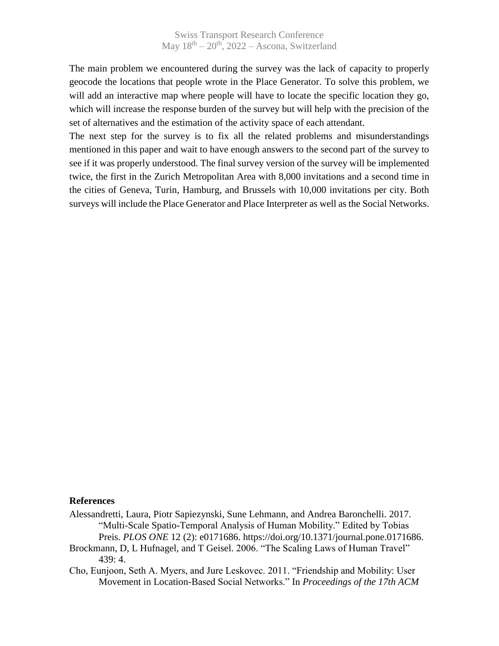The main problem we encountered during the survey was the lack of capacity to properly geocode the locations that people wrote in the Place Generator. To solve this problem, we will add an interactive map where people will have to locate the specific location they go, which will increase the response burden of the survey but will help with the precision of the set of alternatives and the estimation of the activity space of each attendant.

The next step for the survey is to fix all the related problems and misunderstandings mentioned in this paper and wait to have enough answers to the second part of the survey to see if it was properly understood. The final survey version of the survey will be implemented twice, the first in the Zurich Metropolitan Area with 8,000 invitations and a second time in the cities of Geneva, Turin, Hamburg, and Brussels with 10,000 invitations per city. Both surveys will include the Place Generator and Place Interpreter as well as the Social Networks.

#### **References**

- Alessandretti, Laura, Piotr Sapiezynski, Sune Lehmann, and Andrea Baronchelli. 2017. "Multi-Scale Spatio-Temporal Analysis of Human Mobility." Edited by Tobias Preis. *PLOS ONE* 12 (2): e0171686. https://doi.org/10.1371/journal.pone.0171686.
- Brockmann, D, L Hufnagel, and T Geisel. 2006. "The Scaling Laws of Human Travel" 439: 4.
- Cho, Eunjoon, Seth A. Myers, and Jure Leskovec. 2011. "Friendship and Mobility: User Movement in Location-Based Social Networks." In *Proceedings of the 17th ACM*